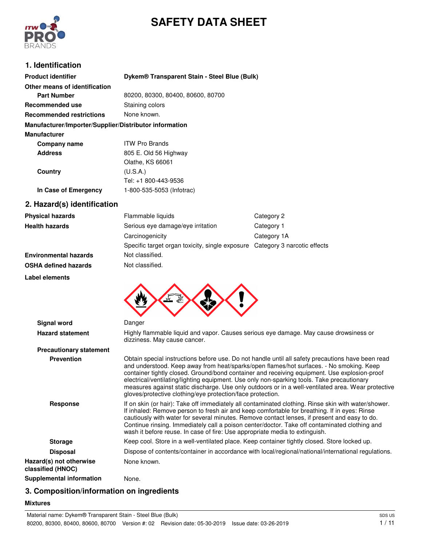



### **1. Identification**

| <b>Product identifier</b>                              | Dykem® Transparent Stain - Steel Blue (Bulk) |
|--------------------------------------------------------|----------------------------------------------|
| Other means of identification                          |                                              |
| <b>Part Number</b>                                     | 80200, 80300, 80400, 80600, 80700            |
| Recommended use                                        | Staining colors                              |
| <b>Recommended restrictions</b>                        | None known.                                  |
| Manufacturer/Importer/Supplier/Distributor information |                                              |
| <b>Manufacturer</b>                                    |                                              |
| Company name                                           | <b>ITW Pro Brands</b>                        |
| <b>Address</b>                                         | 805 E. Old 56 Highway                        |
|                                                        | Olathe, KS 66061                             |
| Country                                                | (U.S.A.)                                     |
|                                                        | Tel: +1 800-443-9536                         |
| In Case of Emergency                                   | 1-800-535-5053 (Infotrac)                    |
| 2. Hazard(s) identification                            |                                              |

| <b>Physical hazards</b>      | Flammable liquids                               | Category 2                  |
|------------------------------|-------------------------------------------------|-----------------------------|
| <b>Health hazards</b>        | Serious eye damage/eye irritation               | Category 1                  |
|                              | Carcinogenicity                                 | Category 1A                 |
|                              | Specific target organ toxicity, single exposure | Category 3 narcotic effects |
| <b>Environmental hazards</b> | Not classified.                                 |                             |
| <b>OSHA defined hazards</b>  | Not classified.                                 |                             |

**Label elements**



| Signal word                                  | Danger                                                                                                                                                                                                                                                                                                                                                                                                                                                                                                                                                         |
|----------------------------------------------|----------------------------------------------------------------------------------------------------------------------------------------------------------------------------------------------------------------------------------------------------------------------------------------------------------------------------------------------------------------------------------------------------------------------------------------------------------------------------------------------------------------------------------------------------------------|
| <b>Hazard statement</b>                      | Highly flammable liquid and vapor. Causes serious eye damage. May cause drowsiness or<br>dizziness. May cause cancer.                                                                                                                                                                                                                                                                                                                                                                                                                                          |
| <b>Precautionary statement</b>               |                                                                                                                                                                                                                                                                                                                                                                                                                                                                                                                                                                |
| <b>Prevention</b>                            | Obtain special instructions before use. Do not handle until all safety precautions have been read<br>and understood. Keep away from heat/sparks/open flames/hot surfaces. - No smoking. Keep<br>container tightly closed. Ground/bond container and receiving equipment. Use explosion-proof<br>electrical/ventilating/lighting equipment. Use only non-sparking tools. Take precautionary<br>measures against static discharge. Use only outdoors or in a well-ventilated area. Wear protective<br>gloves/protective clothing/eye protection/face protection. |
| Response                                     | If on skin (or hair): Take off immediately all contaminated clothing. Rinse skin with water/shower.<br>If inhaled: Remove person to fresh air and keep comfortable for breathing. If in eyes: Rinse<br>cautiously with water for several minutes. Remove contact lenses, if present and easy to do.<br>Continue rinsing. Immediately call a poison center/doctor. Take off contaminated clothing and<br>wash it before reuse. In case of fire: Use appropriate media to extinguish.                                                                            |
| <b>Storage</b>                               | Keep cool. Store in a well-ventilated place. Keep container tightly closed. Store locked up.                                                                                                                                                                                                                                                                                                                                                                                                                                                                   |
| <b>Disposal</b>                              | Dispose of contents/container in accordance with local/regional/national/international regulations.                                                                                                                                                                                                                                                                                                                                                                                                                                                            |
| Hazard(s) not otherwise<br>classified (HNOC) | None known.                                                                                                                                                                                                                                                                                                                                                                                                                                                                                                                                                    |
| Supplemental information                     | None.                                                                                                                                                                                                                                                                                                                                                                                                                                                                                                                                                          |

### **3. Composition/information on ingredients**

#### **Mixtures**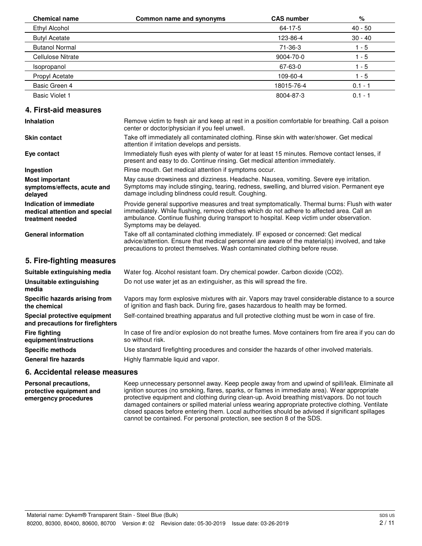| <b>Chemical name</b>  | Common name and synonyms | <b>CAS number</b> | %         |
|-----------------------|--------------------------|-------------------|-----------|
| Ethyl Alcohol         |                          | 64-17-5           | $40 - 50$ |
| <b>Butyl Acetate</b>  |                          | 123-86-4          | $30 - 40$ |
| <b>Butanol Normal</b> |                          | $71 - 36 - 3$     | $1 - 5$   |
| Cellulose Nitrate     |                          | 9004-70-0         | $1 - 5$   |
| Isopropanol           |                          | 67-63-0           | $1 - 5$   |
| Propyl Acetate        |                          | 109-60-4          | 1 - 5     |
| Basic Green 4         |                          | 18015-76-4        | $0.1 - 1$ |
| <b>Basic Violet 1</b> |                          | 8004-87-3         | $0.1 - 1$ |

### **4. First-aid measures**

| Take off immediately all contaminated clothing. Rinse skin with water/shower. Get medical<br>attention if irritation develops and persists.<br>Immediately flush eyes with plenty of water for at least 15 minutes. Remove contact lenses, if<br>present and easy to do. Continue rinsing. Get medical attention immediately.<br>Rinse mouth. Get medical attention if symptoms occur.<br>May cause drowsiness and dizziness. Headache. Nausea, vomiting. Severe eye irritation.<br>Symptoms may include stinging, tearing, redness, swelling, and blurred vision. Permanent eye<br>damage including blindness could result. Coughing.<br>Provide general supportive measures and treat symptomatically. Thermal burns: Flush with water<br>immediately. While flushing, remove clothes which do not adhere to affected area. Call an<br>ambulance. Continue flushing during transport to hospital. Keep victim under observation.<br>Symptoms may be delayed.<br>Take off all contaminated clothing immediately. IF exposed or concerned: Get medical<br>advice/attention. Ensure that medical personnel are aware of the material(s) involved, and take<br>precautions to protect themselves. Wash contaminated clothing before reuse.<br>5. Fire-fighting measures<br>Water fog. Alcohol resistant foam. Dry chemical powder. Carbon dioxide (CO2).<br>Do not use water jet as an extinguisher, as this will spread the fire.<br>Vapors may form explosive mixtures with air. Vapors may travel considerable distance to a source<br>of ignition and flash back. During fire, gases hazardous to health may be formed.<br>Self-contained breathing apparatus and full protective clothing must be worn in case of fire.<br>In case of fire and/or explosion do not breathe fumes. Move containers from fire area if you can do<br>so without risk.<br>Use standard firefighting procedures and consider the hazards of other involved materials.<br>Highly flammable liquid and vapor. | <b>Inhalation</b>                                                            | Remove victim to fresh air and keep at rest in a position comfortable for breathing. Call a poison<br>center or doctor/physician if you feel unwell. |
|-------------------------------------------------------------------------------------------------------------------------------------------------------------------------------------------------------------------------------------------------------------------------------------------------------------------------------------------------------------------------------------------------------------------------------------------------------------------------------------------------------------------------------------------------------------------------------------------------------------------------------------------------------------------------------------------------------------------------------------------------------------------------------------------------------------------------------------------------------------------------------------------------------------------------------------------------------------------------------------------------------------------------------------------------------------------------------------------------------------------------------------------------------------------------------------------------------------------------------------------------------------------------------------------------------------------------------------------------------------------------------------------------------------------------------------------------------------------------------------------------------------------------------------------------------------------------------------------------------------------------------------------------------------------------------------------------------------------------------------------------------------------------------------------------------------------------------------------------------------------------------------------------------------------------------------------------------------------------------------------|------------------------------------------------------------------------------|------------------------------------------------------------------------------------------------------------------------------------------------------|
|                                                                                                                                                                                                                                                                                                                                                                                                                                                                                                                                                                                                                                                                                                                                                                                                                                                                                                                                                                                                                                                                                                                                                                                                                                                                                                                                                                                                                                                                                                                                                                                                                                                                                                                                                                                                                                                                                                                                                                                           | <b>Skin contact</b>                                                          |                                                                                                                                                      |
|                                                                                                                                                                                                                                                                                                                                                                                                                                                                                                                                                                                                                                                                                                                                                                                                                                                                                                                                                                                                                                                                                                                                                                                                                                                                                                                                                                                                                                                                                                                                                                                                                                                                                                                                                                                                                                                                                                                                                                                           | Eye contact                                                                  |                                                                                                                                                      |
|                                                                                                                                                                                                                                                                                                                                                                                                                                                                                                                                                                                                                                                                                                                                                                                                                                                                                                                                                                                                                                                                                                                                                                                                                                                                                                                                                                                                                                                                                                                                                                                                                                                                                                                                                                                                                                                                                                                                                                                           | Ingestion                                                                    |                                                                                                                                                      |
|                                                                                                                                                                                                                                                                                                                                                                                                                                                                                                                                                                                                                                                                                                                                                                                                                                                                                                                                                                                                                                                                                                                                                                                                                                                                                                                                                                                                                                                                                                                                                                                                                                                                                                                                                                                                                                                                                                                                                                                           | <b>Most important</b><br>symptoms/effects, acute and<br>delayed              |                                                                                                                                                      |
|                                                                                                                                                                                                                                                                                                                                                                                                                                                                                                                                                                                                                                                                                                                                                                                                                                                                                                                                                                                                                                                                                                                                                                                                                                                                                                                                                                                                                                                                                                                                                                                                                                                                                                                                                                                                                                                                                                                                                                                           | Indication of immediate<br>medical attention and special<br>treatment needed |                                                                                                                                                      |
|                                                                                                                                                                                                                                                                                                                                                                                                                                                                                                                                                                                                                                                                                                                                                                                                                                                                                                                                                                                                                                                                                                                                                                                                                                                                                                                                                                                                                                                                                                                                                                                                                                                                                                                                                                                                                                                                                                                                                                                           | <b>General information</b>                                                   |                                                                                                                                                      |
|                                                                                                                                                                                                                                                                                                                                                                                                                                                                                                                                                                                                                                                                                                                                                                                                                                                                                                                                                                                                                                                                                                                                                                                                                                                                                                                                                                                                                                                                                                                                                                                                                                                                                                                                                                                                                                                                                                                                                                                           |                                                                              |                                                                                                                                                      |
|                                                                                                                                                                                                                                                                                                                                                                                                                                                                                                                                                                                                                                                                                                                                                                                                                                                                                                                                                                                                                                                                                                                                                                                                                                                                                                                                                                                                                                                                                                                                                                                                                                                                                                                                                                                                                                                                                                                                                                                           | Suitable extinguishing media                                                 |                                                                                                                                                      |
|                                                                                                                                                                                                                                                                                                                                                                                                                                                                                                                                                                                                                                                                                                                                                                                                                                                                                                                                                                                                                                                                                                                                                                                                                                                                                                                                                                                                                                                                                                                                                                                                                                                                                                                                                                                                                                                                                                                                                                                           | Unsuitable extinguishing<br>media                                            |                                                                                                                                                      |
|                                                                                                                                                                                                                                                                                                                                                                                                                                                                                                                                                                                                                                                                                                                                                                                                                                                                                                                                                                                                                                                                                                                                                                                                                                                                                                                                                                                                                                                                                                                                                                                                                                                                                                                                                                                                                                                                                                                                                                                           | Specific hazards arising from<br>the chemical                                |                                                                                                                                                      |
|                                                                                                                                                                                                                                                                                                                                                                                                                                                                                                                                                                                                                                                                                                                                                                                                                                                                                                                                                                                                                                                                                                                                                                                                                                                                                                                                                                                                                                                                                                                                                                                                                                                                                                                                                                                                                                                                                                                                                                                           | Special protective equipment<br>and precautions for firefighters             |                                                                                                                                                      |
|                                                                                                                                                                                                                                                                                                                                                                                                                                                                                                                                                                                                                                                                                                                                                                                                                                                                                                                                                                                                                                                                                                                                                                                                                                                                                                                                                                                                                                                                                                                                                                                                                                                                                                                                                                                                                                                                                                                                                                                           | <b>Fire fighting</b><br>equipment/instructions                               |                                                                                                                                                      |
|                                                                                                                                                                                                                                                                                                                                                                                                                                                                                                                                                                                                                                                                                                                                                                                                                                                                                                                                                                                                                                                                                                                                                                                                                                                                                                                                                                                                                                                                                                                                                                                                                                                                                                                                                                                                                                                                                                                                                                                           | <b>Specific methods</b>                                                      |                                                                                                                                                      |
|                                                                                                                                                                                                                                                                                                                                                                                                                                                                                                                                                                                                                                                                                                                                                                                                                                                                                                                                                                                                                                                                                                                                                                                                                                                                                                                                                                                                                                                                                                                                                                                                                                                                                                                                                                                                                                                                                                                                                                                           | <b>General fire hazards</b>                                                  |                                                                                                                                                      |

### **6. Accidental release measures**

**Personal precautions, protective equipment and emergency procedures**

Keep unnecessary personnel away. Keep people away from and upwind of spill/leak. Eliminate all ignition sources (no smoking, flares, sparks, or flames in immediate area). Wear appropriate protective equipment and clothing during clean-up. Avoid breathing mist/vapors. Do not touch damaged containers or spilled material unless wearing appropriate protective clothing. Ventilate closed spaces before entering them. Local authorities should be advised if significant spillages cannot be contained. For personal protection, see section 8 of the SDS.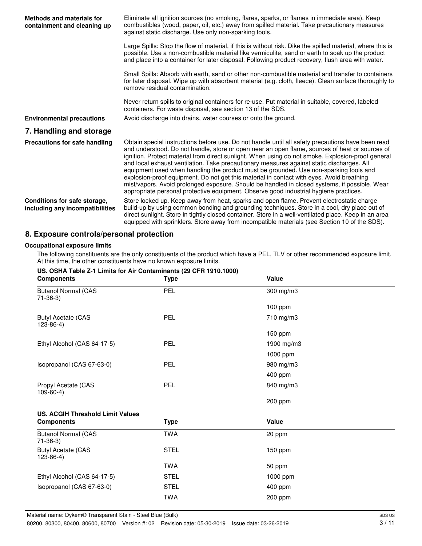| Methods and materials for<br>containment and cleaning up        | Eliminate all ignition sources (no smoking, flares, sparks, or flames in immediate area). Keep<br>combustibles (wood, paper, oil, etc.) away from spilled material. Take precautionary measures<br>against static discharge. Use only non-sparking tools.                                                                                                                                                                                                                                                                                                                                                                                                                                                                                                                             |
|-----------------------------------------------------------------|---------------------------------------------------------------------------------------------------------------------------------------------------------------------------------------------------------------------------------------------------------------------------------------------------------------------------------------------------------------------------------------------------------------------------------------------------------------------------------------------------------------------------------------------------------------------------------------------------------------------------------------------------------------------------------------------------------------------------------------------------------------------------------------|
|                                                                 | Large Spills: Stop the flow of material, if this is without risk. Dike the spilled material, where this is<br>possible. Use a non-combustible material like vermiculite, sand or earth to soak up the product<br>and place into a container for later disposal. Following product recovery, flush area with water.                                                                                                                                                                                                                                                                                                                                                                                                                                                                    |
|                                                                 | Small Spills: Absorb with earth, sand or other non-combustible material and transfer to containers<br>for later disposal. Wipe up with absorbent material (e.g. cloth, fleece). Clean surface thoroughly to<br>remove residual contamination.                                                                                                                                                                                                                                                                                                                                                                                                                                                                                                                                         |
|                                                                 | Never return spills to original containers for re-use. Put material in suitable, covered, labeled<br>containers. For waste disposal, see section 13 of the SDS.                                                                                                                                                                                                                                                                                                                                                                                                                                                                                                                                                                                                                       |
| <b>Environmental precautions</b>                                | Avoid discharge into drains, water courses or onto the ground.                                                                                                                                                                                                                                                                                                                                                                                                                                                                                                                                                                                                                                                                                                                        |
| 7. Handling and storage                                         |                                                                                                                                                                                                                                                                                                                                                                                                                                                                                                                                                                                                                                                                                                                                                                                       |
| Precautions for safe handling                                   | Obtain special instructions before use. Do not handle until all safety precautions have been read<br>and understood. Do not handle, store or open near an open flame, sources of heat or sources of<br>ignition. Protect material from direct sunlight. When using do not smoke. Explosion-proof general<br>and local exhaust ventilation. Take precautionary measures against static discharges. All<br>equipment used when handling the product must be grounded. Use non-sparking tools and<br>explosion-proof equipment. Do not get this material in contact with eyes. Avoid breathing<br>mist/vapors. Avoid prolonged exposure. Should be handled in closed systems, if possible. Wear<br>appropriate personal protective equipment. Observe good industrial hygiene practices. |
| Conditions for safe storage,<br>including any incompatibilities | Store locked up. Keep away from heat, sparks and open flame. Prevent electrostatic charge<br>build-up by using common bonding and grounding techniques. Store in a cool, dry place out of<br>direct sunlight. Store in tightly closed container. Store in a well-ventilated place. Keep in an area<br>equipped with sprinklers. Store away from incompatible materials (see Section 10 of the SDS).                                                                                                                                                                                                                                                                                                                                                                                   |

### **8. Exposure controls/personal protection**

#### **Occupational exposure limits**

The following constituents are the only constituents of the product which have a PEL, TLV or other recommended exposure limit. At this time, the other constituents have no known exposure limits.

| <b>Components</b>                        | <b>Type</b> | Value      |  |
|------------------------------------------|-------------|------------|--|
| <b>Butanol Normal (CAS</b><br>$71-36-3$  | <b>PEL</b>  | 300 mg/m3  |  |
|                                          |             | 100 ppm    |  |
| <b>Butyl Acetate (CAS</b><br>$123-86-4)$ | PEL         | 710 mg/m3  |  |
|                                          |             | 150 ppm    |  |
| Ethyl Alcohol (CAS 64-17-5)              | PEL         | 1900 mg/m3 |  |
|                                          |             | 1000 ppm   |  |
| Isopropanol (CAS 67-63-0)                | <b>PEL</b>  | 980 mg/m3  |  |
|                                          |             | 400 ppm    |  |
| Propyl Acetate (CAS<br>$109-60-4)$       | <b>PEL</b>  | 840 mg/m3  |  |
|                                          |             | 200 ppm    |  |
| <b>US. ACGIH Threshold Limit Values</b>  |             |            |  |
| <b>Components</b>                        | <b>Type</b> | Value      |  |
| <b>Butanol Normal (CAS</b><br>$71-36-3$  | <b>TWA</b>  | 20 ppm     |  |
| <b>Butyl Acetate (CAS</b><br>$123-86-4)$ | <b>STEL</b> | 150 ppm    |  |
|                                          | <b>TWA</b>  | 50 ppm     |  |
| Ethyl Alcohol (CAS 64-17-5)              | <b>STEL</b> | 1000 ppm   |  |
| Isopropanol (CAS 67-63-0)                | <b>STEL</b> | 400 ppm    |  |
|                                          | <b>TWA</b>  | 200 ppm    |  |
|                                          |             |            |  |

# **US. OSHA Table Z-1 Limits for Air Contaminants (29 CFR 1910.1000)**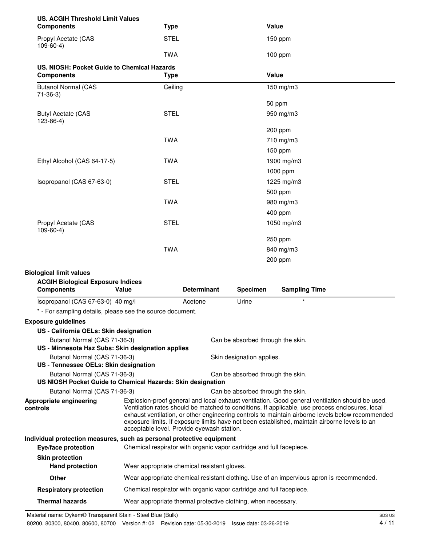| <b>US. ACGIH Threshold Limit Values</b><br><b>Components</b>                      |                                                                                                                                                                                                                                                                                                                                                                                                                                                       | <b>Type</b>                                                          |                                   | Value                                                                                    |
|-----------------------------------------------------------------------------------|-------------------------------------------------------------------------------------------------------------------------------------------------------------------------------------------------------------------------------------------------------------------------------------------------------------------------------------------------------------------------------------------------------------------------------------------------------|----------------------------------------------------------------------|-----------------------------------|------------------------------------------------------------------------------------------|
| Propyl Acetate (CAS<br>$109 - 60 - 4$                                             |                                                                                                                                                                                                                                                                                                                                                                                                                                                       | <b>STEL</b>                                                          |                                   | $150$ ppm                                                                                |
|                                                                                   |                                                                                                                                                                                                                                                                                                                                                                                                                                                       | <b>TWA</b>                                                           |                                   | 100 ppm                                                                                  |
| US. NIOSH: Pocket Guide to Chemical Hazards<br><b>Components</b>                  |                                                                                                                                                                                                                                                                                                                                                                                                                                                       | <b>Type</b>                                                          |                                   | Value                                                                                    |
| <b>Butanol Normal (CAS</b><br>$71-36-3$                                           |                                                                                                                                                                                                                                                                                                                                                                                                                                                       | Ceiling                                                              |                                   | 150 mg/m3                                                                                |
|                                                                                   |                                                                                                                                                                                                                                                                                                                                                                                                                                                       |                                                                      |                                   | 50 ppm                                                                                   |
| <b>Butyl Acetate (CAS</b><br>$123-86-4)$                                          |                                                                                                                                                                                                                                                                                                                                                                                                                                                       | <b>STEL</b>                                                          |                                   | 950 mg/m3                                                                                |
|                                                                                   |                                                                                                                                                                                                                                                                                                                                                                                                                                                       |                                                                      |                                   | 200 ppm                                                                                  |
|                                                                                   |                                                                                                                                                                                                                                                                                                                                                                                                                                                       | <b>TWA</b>                                                           |                                   | 710 mg/m3                                                                                |
|                                                                                   |                                                                                                                                                                                                                                                                                                                                                                                                                                                       |                                                                      |                                   | 150 ppm                                                                                  |
| Ethyl Alcohol (CAS 64-17-5)                                                       |                                                                                                                                                                                                                                                                                                                                                                                                                                                       | <b>TWA</b>                                                           |                                   | 1900 mg/m3                                                                               |
|                                                                                   |                                                                                                                                                                                                                                                                                                                                                                                                                                                       |                                                                      |                                   | 1000 ppm                                                                                 |
| Isopropanol (CAS 67-63-0)                                                         |                                                                                                                                                                                                                                                                                                                                                                                                                                                       | <b>STEL</b>                                                          |                                   | 1225 mg/m3                                                                               |
|                                                                                   |                                                                                                                                                                                                                                                                                                                                                                                                                                                       |                                                                      |                                   | 500 ppm                                                                                  |
|                                                                                   |                                                                                                                                                                                                                                                                                                                                                                                                                                                       | <b>TWA</b>                                                           |                                   | 980 mg/m3                                                                                |
|                                                                                   |                                                                                                                                                                                                                                                                                                                                                                                                                                                       |                                                                      |                                   | 400 ppm                                                                                  |
| Propyl Acetate (CAS<br>$109-60-4)$                                                |                                                                                                                                                                                                                                                                                                                                                                                                                                                       | <b>STEL</b>                                                          |                                   | 1050 mg/m3                                                                               |
|                                                                                   |                                                                                                                                                                                                                                                                                                                                                                                                                                                       |                                                                      |                                   | 250 ppm                                                                                  |
|                                                                                   |                                                                                                                                                                                                                                                                                                                                                                                                                                                       | <b>TWA</b>                                                           |                                   | 840 mg/m3                                                                                |
| <b>ACGIH Biological Exposure Indices</b><br><b>Components</b>                     | Value                                                                                                                                                                                                                                                                                                                                                                                                                                                 | <b>Determinant</b>                                                   | <b>Specimen</b>                   | <b>Sampling Time</b>                                                                     |
| Isopropanol (CAS 67-63-0) 40 mg/l                                                 |                                                                                                                                                                                                                                                                                                                                                                                                                                                       | Acetone                                                              | Urine                             | $\star$                                                                                  |
| * - For sampling details, please see the source document.                         |                                                                                                                                                                                                                                                                                                                                                                                                                                                       |                                                                      |                                   |                                                                                          |
| <b>Exposure guidelines</b>                                                        |                                                                                                                                                                                                                                                                                                                                                                                                                                                       |                                                                      |                                   |                                                                                          |
| US - California OELs: Skin designation                                            |                                                                                                                                                                                                                                                                                                                                                                                                                                                       |                                                                      |                                   |                                                                                          |
| Butanol Normal (CAS 71-36-3)                                                      |                                                                                                                                                                                                                                                                                                                                                                                                                                                       |                                                                      | Can be absorbed through the skin. |                                                                                          |
| US - Minnesota Haz Subs: Skin designation applies<br>Butanol Normal (CAS 71-36-3) |                                                                                                                                                                                                                                                                                                                                                                                                                                                       |                                                                      | Skin designation applies.         |                                                                                          |
| US - Tennessee OELs: Skin designation                                             |                                                                                                                                                                                                                                                                                                                                                                                                                                                       |                                                                      |                                   |                                                                                          |
| Butanol Normal (CAS 71-36-3)                                                      |                                                                                                                                                                                                                                                                                                                                                                                                                                                       |                                                                      | Can be absorbed through the skin. |                                                                                          |
| US NIOSH Pocket Guide to Chemical Hazards: Skin designation                       |                                                                                                                                                                                                                                                                                                                                                                                                                                                       |                                                                      |                                   |                                                                                          |
| Butanol Normal (CAS 71-36-3)<br>Appropriate engineering                           |                                                                                                                                                                                                                                                                                                                                                                                                                                                       |                                                                      | Can be absorbed through the skin. |                                                                                          |
| controls                                                                          | Explosion-proof general and local exhaust ventilation. Good general ventilation should be used.<br>Ventilation rates should be matched to conditions. If applicable, use process enclosures, local<br>exhaust ventilation, or other engineering controls to maintain airborne levels below recommended<br>exposure limits. If exposure limits have not been established, maintain airborne levels to an<br>acceptable level. Provide eyewash station. |                                                                      |                                   |                                                                                          |
| Individual protection measures, such as personal protective equipment             |                                                                                                                                                                                                                                                                                                                                                                                                                                                       |                                                                      |                                   |                                                                                          |
| Eye/face protection                                                               |                                                                                                                                                                                                                                                                                                                                                                                                                                                       | Chemical respirator with organic vapor cartridge and full facepiece. |                                   |                                                                                          |
| <b>Skin protection</b><br><b>Hand protection</b>                                  |                                                                                                                                                                                                                                                                                                                                                                                                                                                       | Wear appropriate chemical resistant gloves.                          |                                   |                                                                                          |
| Other                                                                             |                                                                                                                                                                                                                                                                                                                                                                                                                                                       |                                                                      |                                   | Wear appropriate chemical resistant clothing. Use of an impervious apron is recommended. |
| <b>Respiratory protection</b>                                                     |                                                                                                                                                                                                                                                                                                                                                                                                                                                       | Chemical respirator with organic vapor cartridge and full facepiece. |                                   |                                                                                          |
| <b>Thermal hazards</b>                                                            |                                                                                                                                                                                                                                                                                                                                                                                                                                                       | Wear appropriate thermal protective clothing, when necessary.        |                                   |                                                                                          |
|                                                                                   |                                                                                                                                                                                                                                                                                                                                                                                                                                                       |                                                                      |                                   |                                                                                          |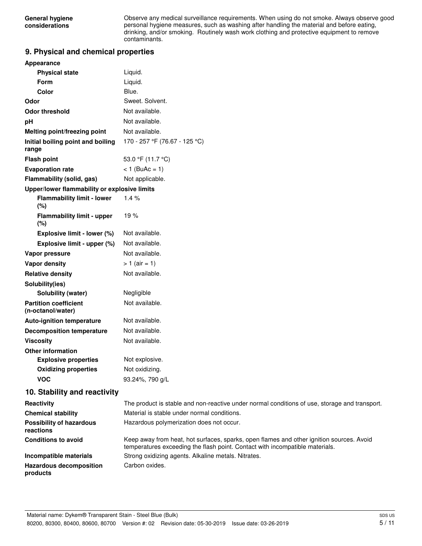Observe any medical surveillance requirements. When using do not smoke. Always observe good personal hygiene measures, such as washing after handling the material and before eating, drinking, and/or smoking. Routinely wash work clothing and protective equipment to remove contaminants.

### **9. Physical and chemical properties**

| Appearance                                              |                                                                                                                                                                          |
|---------------------------------------------------------|--------------------------------------------------------------------------------------------------------------------------------------------------------------------------|
| <b>Physical state</b>                                   | Liquid.                                                                                                                                                                  |
| <b>Form</b>                                             | Liquid.                                                                                                                                                                  |
| Color                                                   | Blue.                                                                                                                                                                    |
| Odor                                                    | Sweet, Solvent.                                                                                                                                                          |
| <b>Odor threshold</b>                                   | Not available.                                                                                                                                                           |
| pH                                                      | Not available.                                                                                                                                                           |
| Melting point/freezing point                            | Not available.                                                                                                                                                           |
| Initial boiling point and boiling<br>range              | 170 - 257 °F (76.67 - 125 °C)                                                                                                                                            |
| <b>Flash point</b>                                      | 53.0 °F (11.7 °C)                                                                                                                                                        |
| <b>Evaporation rate</b>                                 | $< 1$ (BuAc = 1)                                                                                                                                                         |
| Flammability (solid, gas)                               | Not applicable.                                                                                                                                                          |
| Upper/lower flammability or explosive limits            |                                                                                                                                                                          |
| <b>Flammability limit - lower</b><br>(%)                | 1.4%                                                                                                                                                                     |
| <b>Flammability limit - upper</b><br>$(\%)$             | 19%                                                                                                                                                                      |
| Explosive limit - lower (%)                             | Not available.                                                                                                                                                           |
| Explosive limit - upper (%)                             | Not available.                                                                                                                                                           |
| Vapor pressure                                          | Not available.                                                                                                                                                           |
| Vapor density                                           | $> 1$ (air = 1)                                                                                                                                                          |
| <b>Relative density</b>                                 | Not available.                                                                                                                                                           |
| Solubility(ies)                                         |                                                                                                                                                                          |
| Solubility (water)                                      | Negligible                                                                                                                                                               |
| <b>Partition coefficient</b><br>(n-octanol/water)       | Not available.                                                                                                                                                           |
| Auto-ignition temperature                               | Not available.                                                                                                                                                           |
| <b>Decomposition temperature</b>                        | Not available.                                                                                                                                                           |
| <b>Viscosity</b>                                        | Not available.                                                                                                                                                           |
| <b>Other information</b><br><b>Explosive properties</b> | Not explosive.                                                                                                                                                           |
| <b>Oxidizing properties</b>                             | Not oxidizing.                                                                                                                                                           |
| <b>VOC</b>                                              | 93.24%, 790 g/L                                                                                                                                                          |
| 10. Stability and reactivity                            |                                                                                                                                                                          |
| Reactivity                                              | The product is stable and non-reactive under normal conditions of use, storage and transport.                                                                            |
| <b>Chemical stability</b>                               | Material is stable under normal conditions.                                                                                                                              |
| <b>Possibility of hazardous</b><br>reactions            | Hazardous polymerization does not occur.                                                                                                                                 |
| <b>Conditions to avoid</b>                              | Keep away from heat, hot surfaces, sparks, open flames and other ignition sources. Avoid<br>temperatures exceeding the flash point. Contact with incompatible materials. |
| Incompatible materials                                  | Strong oxidizing agents. Alkaline metals. Nitrates.                                                                                                                      |
| <b>Hazardous decomposition</b><br>products              | Carbon oxides.                                                                                                                                                           |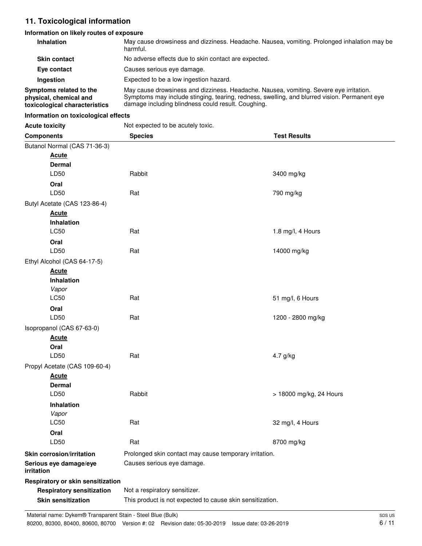### **11. Toxicological information**

#### **Information on likely routes of exposure**

| <b>Inhalation</b>                                                                  | May cause drowsiness and dizziness. Headache. Nausea, vomiting. Prolonged inhalation may be<br>harmful.                                                                                                                                      |
|------------------------------------------------------------------------------------|----------------------------------------------------------------------------------------------------------------------------------------------------------------------------------------------------------------------------------------------|
| <b>Skin contact</b>                                                                | No adverse effects due to skin contact are expected.                                                                                                                                                                                         |
| Eye contact                                                                        | Causes serious eye damage.                                                                                                                                                                                                                   |
| Ingestion                                                                          | Expected to be a low ingestion hazard.                                                                                                                                                                                                       |
| Symptoms related to the<br>physical, chemical and<br>toxicological characteristics | May cause drowsiness and dizziness. Headache. Nausea, vomiting. Severe eye irritation.<br>Symptoms may include stinging, tearing, redness, swelling, and blurred vision. Permanent eye<br>damage including blindness could result. Coughing. |

#### **Information on toxicological effects**

| Not expected to be acutely toxic.<br><b>Acute toxicity</b> |                                                           |                         |
|------------------------------------------------------------|-----------------------------------------------------------|-------------------------|
| <b>Components</b>                                          | <b>Species</b>                                            | <b>Test Results</b>     |
| Butanol Normal (CAS 71-36-3)                               |                                                           |                         |
| <b>Acute</b>                                               |                                                           |                         |
| <b>Dermal</b>                                              |                                                           |                         |
| LD50                                                       | Rabbit                                                    | 3400 mg/kg              |
| Oral                                                       |                                                           |                         |
| LD50                                                       | Rat                                                       | 790 mg/kg               |
| Butyl Acetate (CAS 123-86-4)                               |                                                           |                         |
| <b>Acute</b>                                               |                                                           |                         |
| Inhalation                                                 |                                                           |                         |
| LC50                                                       | Rat                                                       | 1.8 mg/l, 4 Hours       |
| Oral                                                       |                                                           |                         |
| LD50                                                       | Rat                                                       | 14000 mg/kg             |
| Ethyl Alcohol (CAS 64-17-5)                                |                                                           |                         |
| <b>Acute</b>                                               |                                                           |                         |
| Inhalation                                                 |                                                           |                         |
| Vapor<br><b>LC50</b>                                       | Rat                                                       |                         |
|                                                            |                                                           | 51 mg/l, 6 Hours        |
| Oral<br>LD50                                               | Rat                                                       | 1200 - 2800 mg/kg       |
| Isopropanol (CAS 67-63-0)                                  |                                                           |                         |
| <b>Acute</b>                                               |                                                           |                         |
| Oral                                                       |                                                           |                         |
| LD50                                                       | Rat                                                       | 4.7 g/kg                |
| Propyl Acetate (CAS 109-60-4)                              |                                                           |                         |
| <b>Acute</b>                                               |                                                           |                         |
| <b>Dermal</b>                                              |                                                           |                         |
| LD50                                                       | Rabbit                                                    | > 18000 mg/kg, 24 Hours |
| Inhalation                                                 |                                                           |                         |
| Vapor                                                      |                                                           |                         |
| <b>LC50</b>                                                | Rat                                                       | 32 mg/l, 4 Hours        |
| Oral                                                       |                                                           |                         |
| LD50                                                       | Rat                                                       | 8700 mg/kg              |
| <b>Skin corrosion/irritation</b>                           | Prolonged skin contact may cause temporary irritation.    |                         |
| Serious eye damage/eye<br><i>irritation</i>                | Causes serious eye damage.                                |                         |
| Respiratory or skin sensitization                          |                                                           |                         |
| <b>Respiratory sensitization</b>                           | Not a respiratory sensitizer.                             |                         |
| <b>Skin sensitization</b>                                  | This product is not expected to cause skin sensitization. |                         |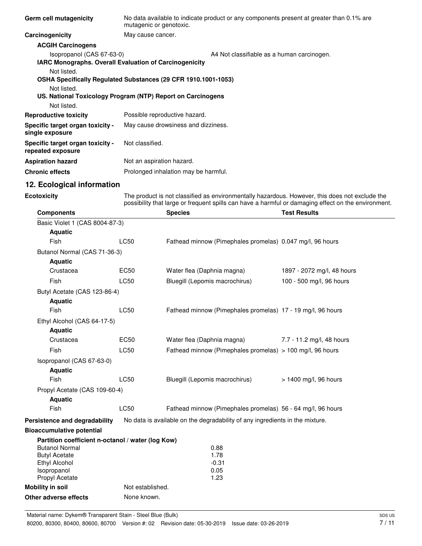| Germ cell mutagenicity                                | No data available to indicate product or any components present at greater than 0.1% are<br>mutagenic or genotoxic.           |  |
|-------------------------------------------------------|-------------------------------------------------------------------------------------------------------------------------------|--|
| Carcinogenicity                                       | May cause cancer.                                                                                                             |  |
| <b>ACGIH Carcinogens</b>                              |                                                                                                                               |  |
| Isopropanol (CAS 67-63-0)                             | A4 Not classifiable as a human carcinogen.<br><b>IARC Monographs. Overall Evaluation of Carcinogenicity</b>                   |  |
| Not listed.<br>Not listed.<br>Not listed.             | OSHA Specifically Regulated Substances (29 CFR 1910.1001-1053)<br>US. National Toxicology Program (NTP) Report on Carcinogens |  |
| <b>Reproductive toxicity</b>                          | Possible reproductive hazard.                                                                                                 |  |
| Specific target organ toxicity -<br>single exposure   | May cause drowsiness and dizziness.                                                                                           |  |
| Specific target organ toxicity -<br>repeated exposure | Not classified.                                                                                                               |  |
| <b>Aspiration hazard</b>                              | Not an aspiration hazard.                                                                                                     |  |
| <b>Chronic effects</b>                                | Prolonged inhalation may be harmful.                                                                                          |  |

### **12. Ecological information**

#### **Ecotoxicity**

The product is not classified as environmentally hazardous. However, this does not exclude the possibility that large or frequent spills can have a harmful or damaging effect on the environment.

| <b>Components</b>                                 |                  | <b>Species</b>                                                               | <b>Test Results</b>        |
|---------------------------------------------------|------------------|------------------------------------------------------------------------------|----------------------------|
| Basic Violet 1 (CAS 8004-87-3)                    |                  |                                                                              |                            |
| <b>Aquatic</b>                                    |                  |                                                                              |                            |
| Fish                                              | <b>LC50</b>      | Fathead minnow (Pimephales promelas) 0.047 mg/l, 96 hours                    |                            |
| Butanol Normal (CAS 71-36-3)                      |                  |                                                                              |                            |
| Aquatic                                           |                  |                                                                              |                            |
| Crustacea                                         | <b>EC50</b>      | Water flea (Daphnia magna)                                                   | 1897 - 2072 mg/l, 48 hours |
| Fish                                              | <b>LC50</b>      | Bluegill (Lepomis macrochirus)                                               | 100 - 500 mg/l, 96 hours   |
| Butyl Acetate (CAS 123-86-4)                      |                  |                                                                              |                            |
| Aquatic                                           |                  |                                                                              |                            |
| Fish                                              | <b>LC50</b>      | Fathead minnow (Pimephales promelas) 17 - 19 mg/l, 96 hours                  |                            |
| Ethyl Alcohol (CAS 64-17-5)                       |                  |                                                                              |                            |
| <b>Aquatic</b>                                    |                  |                                                                              |                            |
| Crustacea                                         | EC50             | Water flea (Daphnia magna)                                                   | 7.7 - 11.2 mg/l, 48 hours  |
| Fish                                              | <b>LC50</b>      | Fathead minnow (Pimephales promelas) > 100 mg/l, 96 hours                    |                            |
| Isopropanol (CAS 67-63-0)                         |                  |                                                                              |                            |
| <b>Aquatic</b>                                    |                  |                                                                              |                            |
| Fish                                              | <b>LC50</b>      | Bluegill (Lepomis macrochirus)                                               | > 1400 mg/l, 96 hours      |
| Propyl Acetate (CAS 109-60-4)                     |                  |                                                                              |                            |
| <b>Aquatic</b>                                    |                  |                                                                              |                            |
| Fish                                              | <b>LC50</b>      | Fathead minnow (Pimephales promelas) 56 - 64 mg/l, 96 hours                  |                            |
| Persistence and degradability                     |                  | No data is available on the degradability of any ingredients in the mixture. |                            |
| <b>Bioaccumulative potential</b>                  |                  |                                                                              |                            |
| Partition coefficient n-octanol / water (log Kow) |                  |                                                                              |                            |
| <b>Butanol Normal</b>                             |                  | 0.88                                                                         |                            |
| <b>Butyl Acetate</b>                              |                  | 1.78<br>$-0.31$                                                              |                            |
| Ethyl Alcohol<br>Isopropanol                      |                  | 0.05                                                                         |                            |
| Propyl Acetate                                    |                  | 1.23                                                                         |                            |
| <b>Mobility in soil</b>                           | Not established. |                                                                              |                            |
| Other adverse effects                             | None known.      |                                                                              |                            |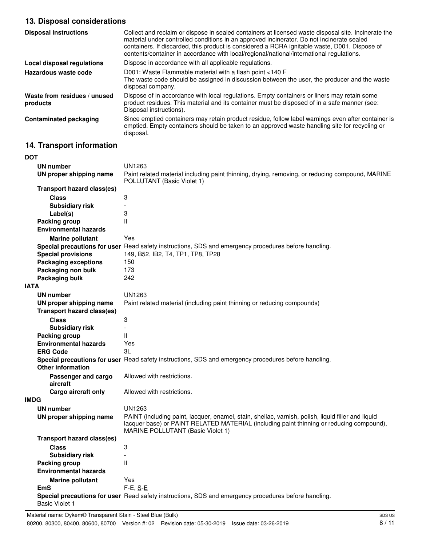## **13. Disposal considerations**

| <b>Disposal instructions</b>             | Collect and reclaim or dispose in sealed containers at licensed waste disposal site. Incinerate the<br>material under controlled conditions in an approved incinerator. Do not incinerate sealed<br>containers. If discarded, this product is considered a RCRA ignitable waste, D001. Dispose of<br>contents/container in accordance with local/regional/national/international regulations. |
|------------------------------------------|-----------------------------------------------------------------------------------------------------------------------------------------------------------------------------------------------------------------------------------------------------------------------------------------------------------------------------------------------------------------------------------------------|
| <b>Local disposal regulations</b>        | Dispose in accordance with all applicable regulations.                                                                                                                                                                                                                                                                                                                                        |
| Hazardous waste code                     | D001: Waste Flammable material with a flash point <140 F<br>The waste code should be assigned in discussion between the user, the producer and the waste<br>disposal company.                                                                                                                                                                                                                 |
| Waste from residues / unused<br>products | Dispose of in accordance with local regulations. Empty containers or liners may retain some<br>product residues. This material and its container must be disposed of in a safe manner (see:<br>Disposal instructions).                                                                                                                                                                        |
| <b>Contaminated packaging</b>            | Since emptied containers may retain product residue, follow label warnings even after container is<br>emptied. Empty containers should be taken to an approved waste handling site for recycling or<br>disposal.                                                                                                                                                                              |

## **14. Transport information**

| <b>DOT</b>                        |                                                                                                                                                                                                                                     |
|-----------------------------------|-------------------------------------------------------------------------------------------------------------------------------------------------------------------------------------------------------------------------------------|
| <b>UN number</b>                  | UN1263                                                                                                                                                                                                                              |
| UN proper shipping name           | Paint related material including paint thinning, drying, removing, or reducing compound, MARINE<br>POLLUTANT (Basic Violet 1)                                                                                                       |
| <b>Transport hazard class(es)</b> |                                                                                                                                                                                                                                     |
| <b>Class</b>                      | 3                                                                                                                                                                                                                                   |
| <b>Subsidiary risk</b>            | $\Box$                                                                                                                                                                                                                              |
| Label(s)                          | 3                                                                                                                                                                                                                                   |
| <b>Packing group</b>              | Ш                                                                                                                                                                                                                                   |
| <b>Environmental hazards</b>      |                                                                                                                                                                                                                                     |
| <b>Marine pollutant</b>           | Yes                                                                                                                                                                                                                                 |
|                                   | Special precautions for user Read safety instructions, SDS and emergency procedures before handling.                                                                                                                                |
| <b>Special provisions</b>         | 149, B52, IB2, T4, TP1, TP8, TP28                                                                                                                                                                                                   |
| <b>Packaging exceptions</b>       | 150                                                                                                                                                                                                                                 |
| Packaging non bulk                | 173                                                                                                                                                                                                                                 |
| Packaging bulk                    | 242                                                                                                                                                                                                                                 |
| <b>IATA</b>                       |                                                                                                                                                                                                                                     |
| <b>UN number</b>                  | UN1263                                                                                                                                                                                                                              |
| UN proper shipping name           | Paint related material (including paint thinning or reducing compounds)                                                                                                                                                             |
| <b>Transport hazard class(es)</b> |                                                                                                                                                                                                                                     |
| <b>Class</b>                      | 3                                                                                                                                                                                                                                   |
| <b>Subsidiary risk</b>            | $\overline{a}$                                                                                                                                                                                                                      |
| Packing group                     | $\mathbf{H}$                                                                                                                                                                                                                        |
| <b>Environmental hazards</b>      | <b>Yes</b>                                                                                                                                                                                                                          |
| <b>ERG Code</b>                   | 3L                                                                                                                                                                                                                                  |
| <b>Other information</b>          | Special precautions for user Read safety instructions, SDS and emergency procedures before handling.                                                                                                                                |
| Passenger and cargo<br>aircraft   | Allowed with restrictions.                                                                                                                                                                                                          |
| Cargo aircraft only               | Allowed with restrictions.                                                                                                                                                                                                          |
| <b>IMDG</b>                       |                                                                                                                                                                                                                                     |
| <b>UN number</b>                  | UN1263                                                                                                                                                                                                                              |
| UN proper shipping name           | PAINT (including paint, lacquer, enamel, stain, shellac, varnish, polish, liquid filler and liquid<br>lacquer base) or PAINT RELATED MATERIAL (including paint thinning or reducing compound),<br>MARINE POLLUTANT (Basic Violet 1) |
| <b>Transport hazard class(es)</b> |                                                                                                                                                                                                                                     |
| <b>Class</b>                      | 3                                                                                                                                                                                                                                   |
| <b>Subsidiary risk</b>            | $\frac{1}{2}$                                                                                                                                                                                                                       |
| Packing group                     | Ш                                                                                                                                                                                                                                   |
| <b>Environmental hazards</b>      |                                                                                                                                                                                                                                     |
| <b>Marine pollutant</b>           | Yes                                                                                                                                                                                                                                 |
| <b>EmS</b>                        | $F-E, S-E$                                                                                                                                                                                                                          |
| <b>Basic Violet 1</b>             | Special precautions for user Read safety instructions, SDS and emergency procedures before handling.                                                                                                                                |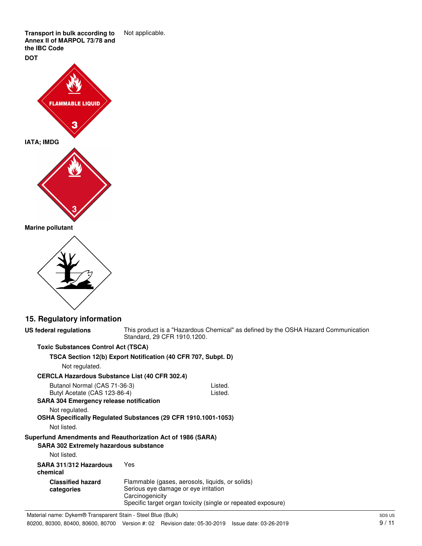**Transport in bulk according to** Not applicable. **Annex II of MARPOL 73/78 and the IBC Code**







### **15. Regulatory information**

**US federal regulations**

**categories**

This product is a "Hazardous Chemical" as defined by the OSHA Hazard Communication Standard, 29 CFR 1910.1200.

### **Toxic Substances Control Act (TSCA)**

**TSCA Section 12(b) Export Notification (40 CFR 707, Subpt. D)** Not regulated.

### **CERCLA Hazardous Substance List (40 CFR 302.4)**

| CERCLA Hazardous Substance List (40 CFR 302.4)              |                                                                |         |
|-------------------------------------------------------------|----------------------------------------------------------------|---------|
| Butanol Normal (CAS 71-36-3)                                |                                                                | Listed. |
| Butyl Acetate (CAS 123-86-4)<br>Listed.                     |                                                                |         |
| <b>SARA 304 Emergency release notification</b>              |                                                                |         |
| Not regulated.                                              |                                                                |         |
|                                                             | OSHA Specifically Regulated Substances (29 CFR 1910.1001-1053) |         |
| Not listed.                                                 |                                                                |         |
| Superfund Amendments and Reauthorization Act of 1986 (SARA) |                                                                |         |
| <b>SARA 302 Extremely hazardous substance</b>               |                                                                |         |
| Not listed.                                                 |                                                                |         |
| SARA 311/312 Hazardous<br>chemical                          | Yes                                                            |         |
| <b>Classified hazard</b>                                    | Flammable (gases, aerosols, liquids, or solids)                |         |

Carcinogenicity

Serious eye damage or eye irritation

Specific target organ toxicity (single or repeated exposure)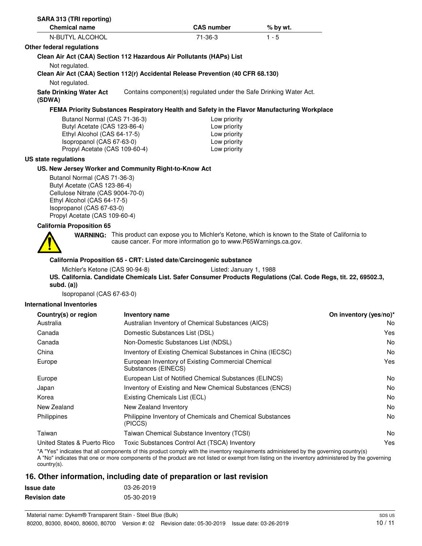| SARA 313 (TRI reporting)<br><b>Chemical name</b>                                                                                                                                               |                                | <b>CAS number</b>                                                                | % by wt.                                                                                                         |     |
|------------------------------------------------------------------------------------------------------------------------------------------------------------------------------------------------|--------------------------------|----------------------------------------------------------------------------------|------------------------------------------------------------------------------------------------------------------|-----|
| N-BUTYL ALCOHOL                                                                                                                                                                                |                                | 71-36-3                                                                          | $1 - 5$                                                                                                          |     |
| <b>Other federal regulations</b>                                                                                                                                                               |                                |                                                                                  |                                                                                                                  |     |
| Clean Air Act (CAA) Section 112 Hazardous Air Pollutants (HAPs) List                                                                                                                           |                                |                                                                                  |                                                                                                                  |     |
| Not regulated.                                                                                                                                                                                 |                                |                                                                                  |                                                                                                                  |     |
|                                                                                                                                                                                                |                                | Clean Air Act (CAA) Section 112(r) Accidental Release Prevention (40 CFR 68.130) |                                                                                                                  |     |
| Not regulated.                                                                                                                                                                                 |                                |                                                                                  |                                                                                                                  |     |
| <b>Safe Drinking Water Act</b><br>(SDWA)                                                                                                                                                       |                                | Contains component(s) regulated under the Safe Drinking Water Act.               |                                                                                                                  |     |
|                                                                                                                                                                                                |                                |                                                                                  | FEMA Priority Substances Respiratory Health and Safety in the Flavor Manufacturing Workplace                     |     |
| Butanol Normal (CAS 71-36-3)                                                                                                                                                                   |                                | Low priority                                                                     |                                                                                                                  |     |
| Butyl Acetate (CAS 123-86-4)                                                                                                                                                                   |                                | Low priority                                                                     |                                                                                                                  |     |
| Ethyl Alcohol (CAS 64-17-5)                                                                                                                                                                    |                                | Low priority                                                                     |                                                                                                                  |     |
| Isopropanol (CAS 67-63-0)                                                                                                                                                                      |                                | Low priority                                                                     |                                                                                                                  |     |
| Propyl Acetate (CAS 109-60-4)                                                                                                                                                                  |                                | Low priority                                                                     |                                                                                                                  |     |
| <b>US state regulations</b>                                                                                                                                                                    |                                |                                                                                  |                                                                                                                  |     |
| US. New Jersey Worker and Community Right-to-Know Act                                                                                                                                          |                                |                                                                                  |                                                                                                                  |     |
| Butanol Normal (CAS 71-36-3)<br>Butyl Acetate (CAS 123-86-4)<br>Cellulose Nitrate (CAS 9004-70-0)<br>Ethyl Alcohol (CAS 64-17-5)<br>Isopropanol (CAS 67-63-0)<br>Propyl Acetate (CAS 109-60-4) |                                |                                                                                  |                                                                                                                  |     |
| <b>California Proposition 65</b>                                                                                                                                                               |                                |                                                                                  |                                                                                                                  |     |
|                                                                                                                                                                                                |                                | cause cancer. For more information go to www.P65Warnings.ca.gov.                 | WARNING: This product can expose you to Michler's Ketone, which is known to the State of California to           |     |
|                                                                                                                                                                                                |                                | California Proposition 65 - CRT: Listed date/Carcinogenic substance              |                                                                                                                  |     |
| Michler's Ketone (CAS 90-94-8)<br>subd. $(a)$                                                                                                                                                  |                                | Listed: January 1, 1988                                                          | US. California. Candidate Chemicals List. Safer Consumer Products Regulations (Cal. Code Regs, tit. 22, 69502.3, |     |
| Isopropanol (CAS 67-63-0)                                                                                                                                                                      |                                |                                                                                  |                                                                                                                  |     |
| International Inventories                                                                                                                                                                      |                                |                                                                                  |                                                                                                                  |     |
| Country(s) or region                                                                                                                                                                           | <b>Inventory name</b>          |                                                                                  | On inventory (yes/no)*                                                                                           |     |
| Australia                                                                                                                                                                                      |                                | Australian Inventory of Chemical Substances (AICS)                               |                                                                                                                  | No  |
| Canada                                                                                                                                                                                         | Domestic Substances List (DSL) |                                                                                  |                                                                                                                  | Yes |
| Canada                                                                                                                                                                                         |                                | Non-Domestic Substances List (NDSL)                                              |                                                                                                                  | No  |
|                                                                                                                                                                                                |                                |                                                                                  |                                                                                                                  |     |
| China                                                                                                                                                                                          |                                | Inventory of Existing Chemical Substances in China (IECSC)                       |                                                                                                                  | No  |
| Europe                                                                                                                                                                                         | Cubetanooc (EINIECC)           | European Inventory of Existing Commercial Chemical                               |                                                                                                                  | Yes |

|                             | Substances (EINECS)                                                  |     |
|-----------------------------|----------------------------------------------------------------------|-----|
| Europe                      | European List of Notified Chemical Substances (ELINCS)               | No  |
| Japan                       | Inventory of Existing and New Chemical Substances (ENCS)             | No  |
| Korea                       | Existing Chemicals List (ECL)                                        | No  |
| New Zealand                 | New Zealand Inventory                                                | No  |
| <b>Philippines</b>          | Philippine Inventory of Chemicals and Chemical Substances<br>(PICCS) | No  |
| Taiwan                      | Taiwan Chemical Substance Inventory (TCSI)                           | No  |
| United States & Puerto Rico | Toxic Substances Control Act (TSCA) Inventory                        | Yes |
|                             |                                                                      |     |

\*A "Yes" indicates that all components of this product comply with the inventory requirements administered by the governing country(s)

A "No" indicates that one or more components of the product are not listed or exempt from listing on the inventory administered by the governing country(s).

### **16. Other information, including date of preparation or last revision**

| Issue date           | 03-26-2019 |
|----------------------|------------|
| <b>Revision date</b> | 05-30-2019 |